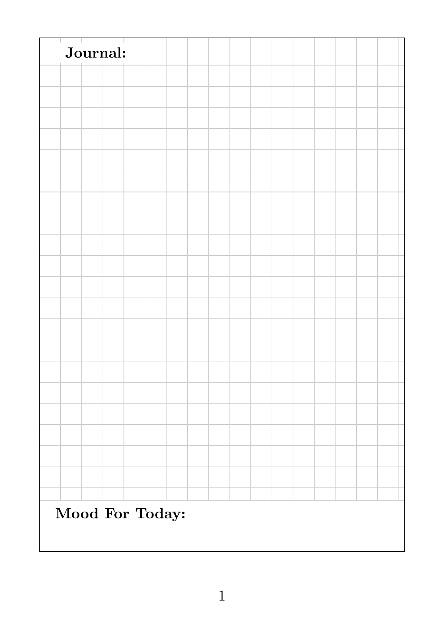| Journal:        |  |  |  |  |  |  |
|-----------------|--|--|--|--|--|--|
|                 |  |  |  |  |  |  |
|                 |  |  |  |  |  |  |
|                 |  |  |  |  |  |  |
|                 |  |  |  |  |  |  |
|                 |  |  |  |  |  |  |
|                 |  |  |  |  |  |  |
|                 |  |  |  |  |  |  |
|                 |  |  |  |  |  |  |
|                 |  |  |  |  |  |  |
|                 |  |  |  |  |  |  |
|                 |  |  |  |  |  |  |
|                 |  |  |  |  |  |  |
|                 |  |  |  |  |  |  |
|                 |  |  |  |  |  |  |
|                 |  |  |  |  |  |  |
|                 |  |  |  |  |  |  |
|                 |  |  |  |  |  |  |
|                 |  |  |  |  |  |  |
|                 |  |  |  |  |  |  |
|                 |  |  |  |  |  |  |
|                 |  |  |  |  |  |  |
|                 |  |  |  |  |  |  |
|                 |  |  |  |  |  |  |
|                 |  |  |  |  |  |  |
|                 |  |  |  |  |  |  |
|                 |  |  |  |  |  |  |
|                 |  |  |  |  |  |  |
| Mood For Today: |  |  |  |  |  |  |
|                 |  |  |  |  |  |  |
|                 |  |  |  |  |  |  |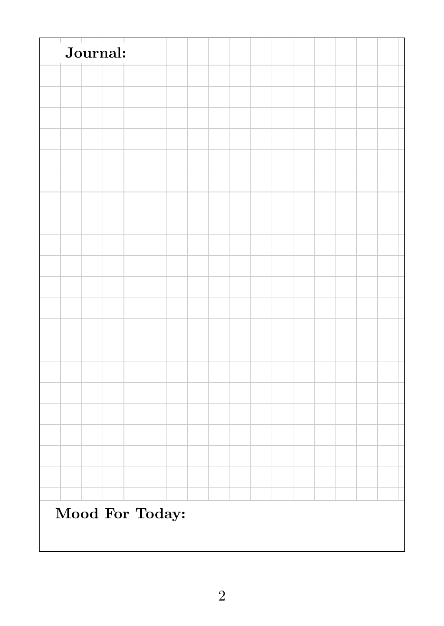| Journal:        |  |  |  |  |  |  |
|-----------------|--|--|--|--|--|--|
|                 |  |  |  |  |  |  |
|                 |  |  |  |  |  |  |
|                 |  |  |  |  |  |  |
|                 |  |  |  |  |  |  |
|                 |  |  |  |  |  |  |
|                 |  |  |  |  |  |  |
|                 |  |  |  |  |  |  |
|                 |  |  |  |  |  |  |
|                 |  |  |  |  |  |  |
|                 |  |  |  |  |  |  |
|                 |  |  |  |  |  |  |
|                 |  |  |  |  |  |  |
|                 |  |  |  |  |  |  |
|                 |  |  |  |  |  |  |
|                 |  |  |  |  |  |  |
|                 |  |  |  |  |  |  |
|                 |  |  |  |  |  |  |
|                 |  |  |  |  |  |  |
|                 |  |  |  |  |  |  |
|                 |  |  |  |  |  |  |
|                 |  |  |  |  |  |  |
|                 |  |  |  |  |  |  |
|                 |  |  |  |  |  |  |
|                 |  |  |  |  |  |  |
|                 |  |  |  |  |  |  |
|                 |  |  |  |  |  |  |
|                 |  |  |  |  |  |  |
| Mood For Today: |  |  |  |  |  |  |
|                 |  |  |  |  |  |  |
|                 |  |  |  |  |  |  |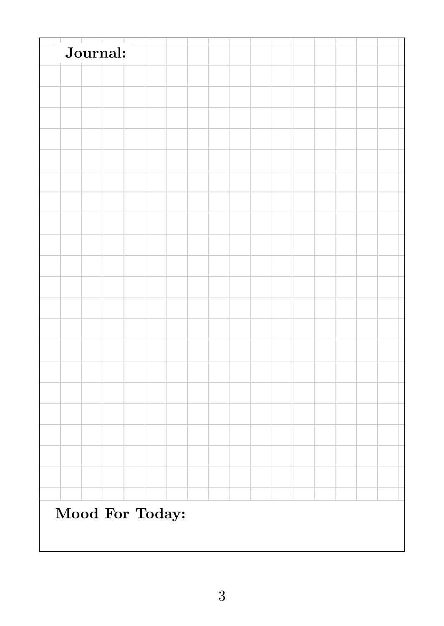| Journal:        |  |  |  |  |  |  |
|-----------------|--|--|--|--|--|--|
|                 |  |  |  |  |  |  |
|                 |  |  |  |  |  |  |
|                 |  |  |  |  |  |  |
|                 |  |  |  |  |  |  |
|                 |  |  |  |  |  |  |
|                 |  |  |  |  |  |  |
|                 |  |  |  |  |  |  |
|                 |  |  |  |  |  |  |
|                 |  |  |  |  |  |  |
|                 |  |  |  |  |  |  |
|                 |  |  |  |  |  |  |
|                 |  |  |  |  |  |  |
|                 |  |  |  |  |  |  |
|                 |  |  |  |  |  |  |
|                 |  |  |  |  |  |  |
|                 |  |  |  |  |  |  |
|                 |  |  |  |  |  |  |
|                 |  |  |  |  |  |  |
|                 |  |  |  |  |  |  |
|                 |  |  |  |  |  |  |
|                 |  |  |  |  |  |  |
|                 |  |  |  |  |  |  |
|                 |  |  |  |  |  |  |
|                 |  |  |  |  |  |  |
|                 |  |  |  |  |  |  |
|                 |  |  |  |  |  |  |
|                 |  |  |  |  |  |  |
| Mood For Today: |  |  |  |  |  |  |
|                 |  |  |  |  |  |  |
|                 |  |  |  |  |  |  |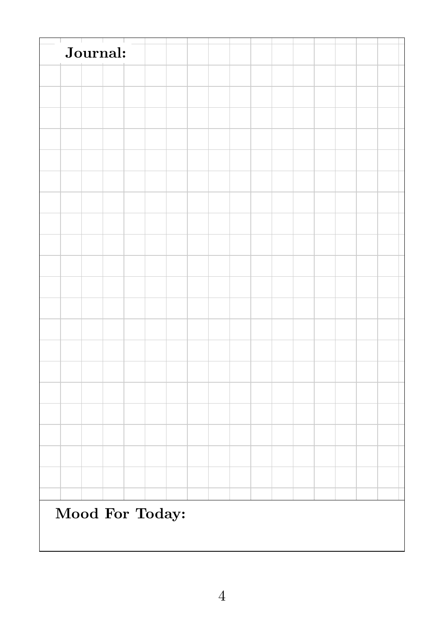| Journal:        |  |  |  |
|-----------------|--|--|--|
|                 |  |  |  |
|                 |  |  |  |
|                 |  |  |  |
|                 |  |  |  |
|                 |  |  |  |
|                 |  |  |  |
|                 |  |  |  |
|                 |  |  |  |
|                 |  |  |  |
|                 |  |  |  |
|                 |  |  |  |
|                 |  |  |  |
|                 |  |  |  |
|                 |  |  |  |
|                 |  |  |  |
|                 |  |  |  |
|                 |  |  |  |
|                 |  |  |  |
|                 |  |  |  |
|                 |  |  |  |
|                 |  |  |  |
|                 |  |  |  |
|                 |  |  |  |
|                 |  |  |  |
|                 |  |  |  |
| Mood For Today: |  |  |  |
|                 |  |  |  |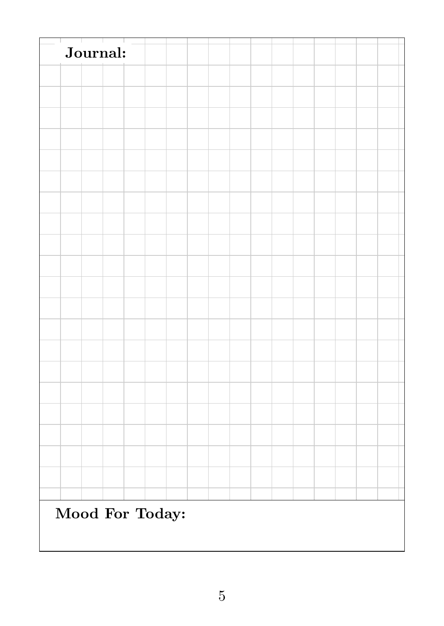| Journal:        |  |  |  |  |  |  |
|-----------------|--|--|--|--|--|--|
|                 |  |  |  |  |  |  |
|                 |  |  |  |  |  |  |
|                 |  |  |  |  |  |  |
|                 |  |  |  |  |  |  |
|                 |  |  |  |  |  |  |
|                 |  |  |  |  |  |  |
|                 |  |  |  |  |  |  |
|                 |  |  |  |  |  |  |
|                 |  |  |  |  |  |  |
|                 |  |  |  |  |  |  |
|                 |  |  |  |  |  |  |
|                 |  |  |  |  |  |  |
|                 |  |  |  |  |  |  |
|                 |  |  |  |  |  |  |
|                 |  |  |  |  |  |  |
|                 |  |  |  |  |  |  |
|                 |  |  |  |  |  |  |
|                 |  |  |  |  |  |  |
|                 |  |  |  |  |  |  |
|                 |  |  |  |  |  |  |
|                 |  |  |  |  |  |  |
|                 |  |  |  |  |  |  |
|                 |  |  |  |  |  |  |
|                 |  |  |  |  |  |  |
|                 |  |  |  |  |  |  |
|                 |  |  |  |  |  |  |
|                 |  |  |  |  |  |  |
| Mood For Today: |  |  |  |  |  |  |
|                 |  |  |  |  |  |  |
|                 |  |  |  |  |  |  |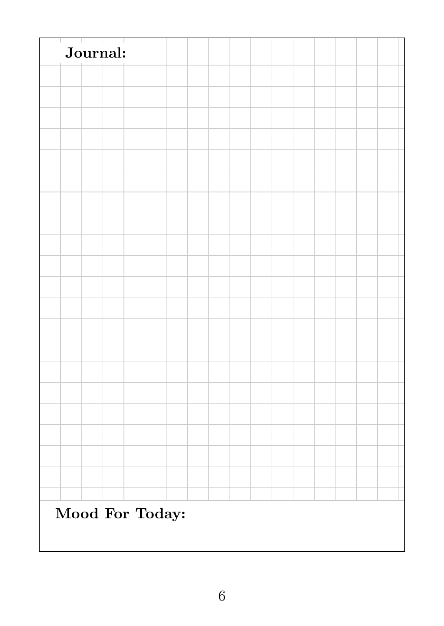| Journal:        |  |  |  |
|-----------------|--|--|--|
|                 |  |  |  |
|                 |  |  |  |
|                 |  |  |  |
|                 |  |  |  |
|                 |  |  |  |
|                 |  |  |  |
|                 |  |  |  |
|                 |  |  |  |
|                 |  |  |  |
|                 |  |  |  |
|                 |  |  |  |
|                 |  |  |  |
|                 |  |  |  |
|                 |  |  |  |
|                 |  |  |  |
|                 |  |  |  |
|                 |  |  |  |
|                 |  |  |  |
|                 |  |  |  |
|                 |  |  |  |
|                 |  |  |  |
|                 |  |  |  |
|                 |  |  |  |
|                 |  |  |  |
|                 |  |  |  |
| Mood For Today: |  |  |  |
|                 |  |  |  |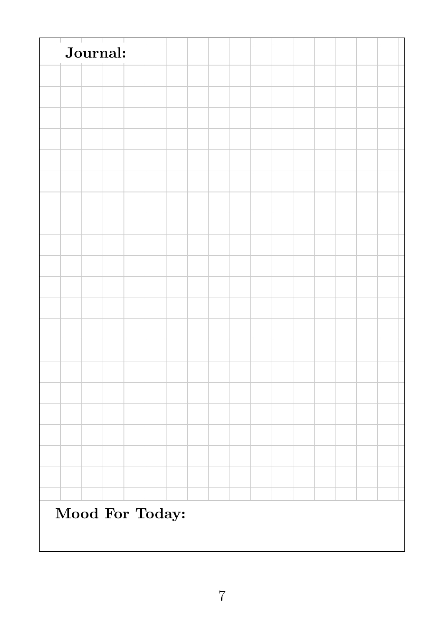| Journal:        |  |  |  |  |  |  |
|-----------------|--|--|--|--|--|--|
|                 |  |  |  |  |  |  |
|                 |  |  |  |  |  |  |
|                 |  |  |  |  |  |  |
|                 |  |  |  |  |  |  |
|                 |  |  |  |  |  |  |
|                 |  |  |  |  |  |  |
|                 |  |  |  |  |  |  |
|                 |  |  |  |  |  |  |
|                 |  |  |  |  |  |  |
|                 |  |  |  |  |  |  |
|                 |  |  |  |  |  |  |
|                 |  |  |  |  |  |  |
|                 |  |  |  |  |  |  |
|                 |  |  |  |  |  |  |
|                 |  |  |  |  |  |  |
|                 |  |  |  |  |  |  |
|                 |  |  |  |  |  |  |
|                 |  |  |  |  |  |  |
|                 |  |  |  |  |  |  |
|                 |  |  |  |  |  |  |
|                 |  |  |  |  |  |  |
|                 |  |  |  |  |  |  |
|                 |  |  |  |  |  |  |
|                 |  |  |  |  |  |  |
|                 |  |  |  |  |  |  |
|                 |  |  |  |  |  |  |
|                 |  |  |  |  |  |  |
| Mood For Today: |  |  |  |  |  |  |
|                 |  |  |  |  |  |  |
|                 |  |  |  |  |  |  |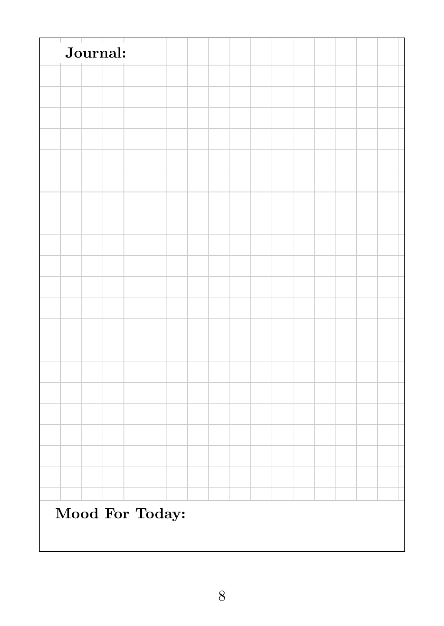| Journal:        |  |  |  |
|-----------------|--|--|--|
|                 |  |  |  |
|                 |  |  |  |
|                 |  |  |  |
|                 |  |  |  |
|                 |  |  |  |
|                 |  |  |  |
|                 |  |  |  |
|                 |  |  |  |
|                 |  |  |  |
|                 |  |  |  |
|                 |  |  |  |
|                 |  |  |  |
|                 |  |  |  |
|                 |  |  |  |
|                 |  |  |  |
|                 |  |  |  |
|                 |  |  |  |
|                 |  |  |  |
|                 |  |  |  |
|                 |  |  |  |
|                 |  |  |  |
|                 |  |  |  |
|                 |  |  |  |
|                 |  |  |  |
|                 |  |  |  |
| Mood For Today: |  |  |  |
|                 |  |  |  |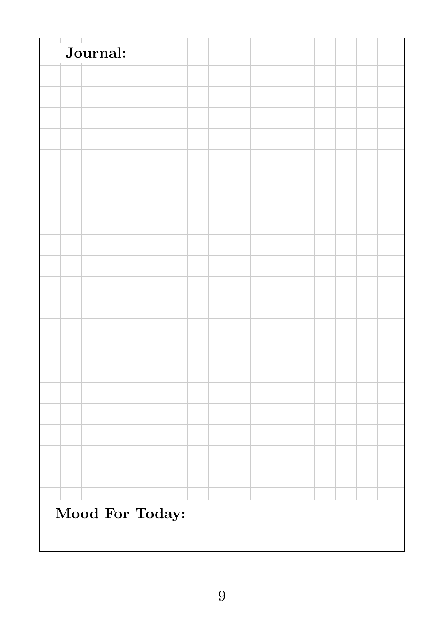| Journal:        |  |  |  |
|-----------------|--|--|--|
|                 |  |  |  |
|                 |  |  |  |
|                 |  |  |  |
|                 |  |  |  |
|                 |  |  |  |
|                 |  |  |  |
|                 |  |  |  |
|                 |  |  |  |
|                 |  |  |  |
|                 |  |  |  |
|                 |  |  |  |
|                 |  |  |  |
|                 |  |  |  |
|                 |  |  |  |
|                 |  |  |  |
|                 |  |  |  |
|                 |  |  |  |
|                 |  |  |  |
|                 |  |  |  |
|                 |  |  |  |
|                 |  |  |  |
|                 |  |  |  |
|                 |  |  |  |
|                 |  |  |  |
|                 |  |  |  |
| Mood For Today: |  |  |  |
|                 |  |  |  |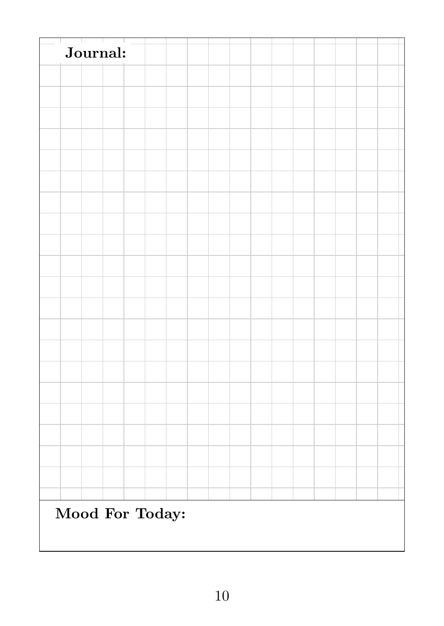| Journal:        |  |  |  |  |  |
|-----------------|--|--|--|--|--|
|                 |  |  |  |  |  |
|                 |  |  |  |  |  |
|                 |  |  |  |  |  |
|                 |  |  |  |  |  |
|                 |  |  |  |  |  |
|                 |  |  |  |  |  |
|                 |  |  |  |  |  |
|                 |  |  |  |  |  |
|                 |  |  |  |  |  |
|                 |  |  |  |  |  |
|                 |  |  |  |  |  |
|                 |  |  |  |  |  |
|                 |  |  |  |  |  |
|                 |  |  |  |  |  |
|                 |  |  |  |  |  |
|                 |  |  |  |  |  |
|                 |  |  |  |  |  |
|                 |  |  |  |  |  |
|                 |  |  |  |  |  |
|                 |  |  |  |  |  |
|                 |  |  |  |  |  |
|                 |  |  |  |  |  |
|                 |  |  |  |  |  |
| Mood For Today: |  |  |  |  |  |
|                 |  |  |  |  |  |
|                 |  |  |  |  |  |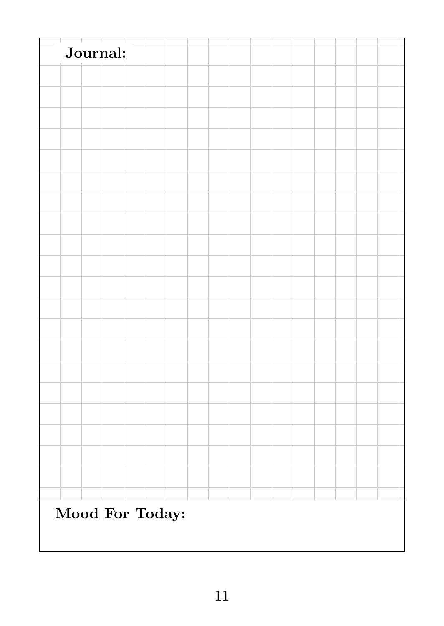| Journal:        |  |  |  |
|-----------------|--|--|--|
|                 |  |  |  |
|                 |  |  |  |
|                 |  |  |  |
|                 |  |  |  |
|                 |  |  |  |
|                 |  |  |  |
|                 |  |  |  |
|                 |  |  |  |
|                 |  |  |  |
|                 |  |  |  |
|                 |  |  |  |
|                 |  |  |  |
|                 |  |  |  |
|                 |  |  |  |
|                 |  |  |  |
|                 |  |  |  |
|                 |  |  |  |
|                 |  |  |  |
|                 |  |  |  |
|                 |  |  |  |
|                 |  |  |  |
|                 |  |  |  |
|                 |  |  |  |
|                 |  |  |  |
|                 |  |  |  |
| Mood For Today: |  |  |  |
|                 |  |  |  |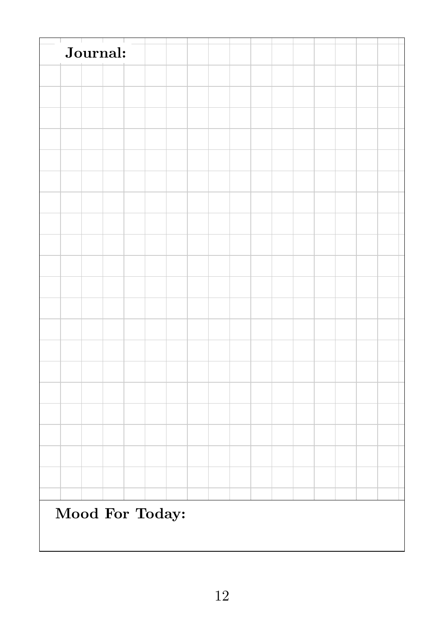| Journal:        |  |  |  |
|-----------------|--|--|--|
|                 |  |  |  |
|                 |  |  |  |
|                 |  |  |  |
|                 |  |  |  |
|                 |  |  |  |
|                 |  |  |  |
|                 |  |  |  |
|                 |  |  |  |
|                 |  |  |  |
|                 |  |  |  |
|                 |  |  |  |
|                 |  |  |  |
|                 |  |  |  |
|                 |  |  |  |
|                 |  |  |  |
|                 |  |  |  |
|                 |  |  |  |
|                 |  |  |  |
|                 |  |  |  |
|                 |  |  |  |
|                 |  |  |  |
|                 |  |  |  |
|                 |  |  |  |
|                 |  |  |  |
|                 |  |  |  |
| Mood For Today: |  |  |  |
|                 |  |  |  |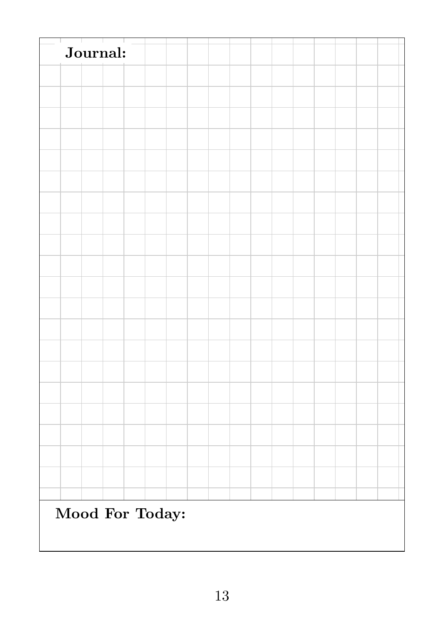| Journal:        |  |  |  |
|-----------------|--|--|--|
|                 |  |  |  |
|                 |  |  |  |
|                 |  |  |  |
|                 |  |  |  |
|                 |  |  |  |
|                 |  |  |  |
|                 |  |  |  |
|                 |  |  |  |
|                 |  |  |  |
|                 |  |  |  |
|                 |  |  |  |
|                 |  |  |  |
|                 |  |  |  |
|                 |  |  |  |
|                 |  |  |  |
|                 |  |  |  |
|                 |  |  |  |
|                 |  |  |  |
|                 |  |  |  |
|                 |  |  |  |
|                 |  |  |  |
|                 |  |  |  |
|                 |  |  |  |
|                 |  |  |  |
|                 |  |  |  |
| Mood For Today: |  |  |  |
|                 |  |  |  |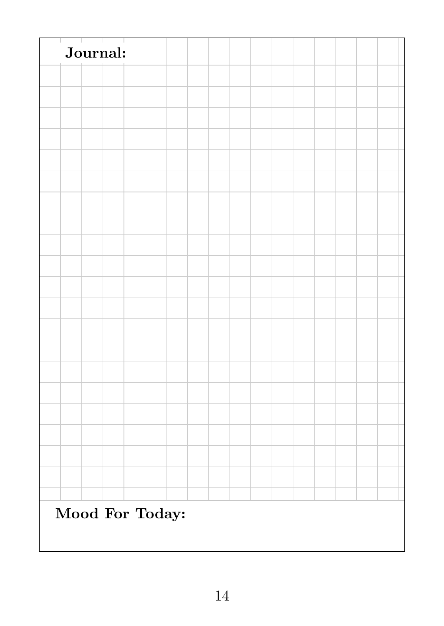| Journal:        |  |  |  |
|-----------------|--|--|--|
|                 |  |  |  |
|                 |  |  |  |
|                 |  |  |  |
|                 |  |  |  |
|                 |  |  |  |
|                 |  |  |  |
|                 |  |  |  |
|                 |  |  |  |
|                 |  |  |  |
|                 |  |  |  |
|                 |  |  |  |
|                 |  |  |  |
|                 |  |  |  |
|                 |  |  |  |
|                 |  |  |  |
|                 |  |  |  |
|                 |  |  |  |
|                 |  |  |  |
|                 |  |  |  |
|                 |  |  |  |
|                 |  |  |  |
|                 |  |  |  |
|                 |  |  |  |
|                 |  |  |  |
|                 |  |  |  |
| Mood For Today: |  |  |  |
|                 |  |  |  |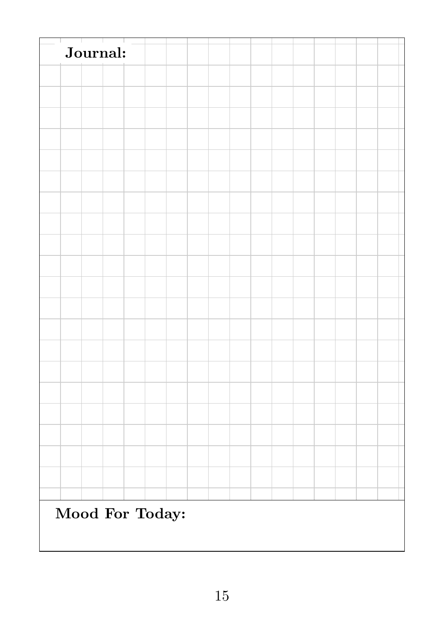| Journal:        |  |  |  |
|-----------------|--|--|--|
|                 |  |  |  |
|                 |  |  |  |
|                 |  |  |  |
|                 |  |  |  |
|                 |  |  |  |
|                 |  |  |  |
|                 |  |  |  |
|                 |  |  |  |
|                 |  |  |  |
|                 |  |  |  |
|                 |  |  |  |
|                 |  |  |  |
|                 |  |  |  |
|                 |  |  |  |
|                 |  |  |  |
|                 |  |  |  |
|                 |  |  |  |
|                 |  |  |  |
|                 |  |  |  |
|                 |  |  |  |
|                 |  |  |  |
|                 |  |  |  |
|                 |  |  |  |
|                 |  |  |  |
|                 |  |  |  |
| Mood For Today: |  |  |  |
|                 |  |  |  |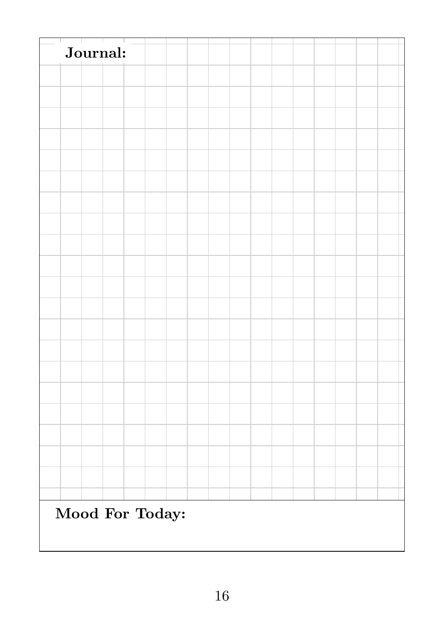| Journal:        |  |  |  |  |  |
|-----------------|--|--|--|--|--|
|                 |  |  |  |  |  |
|                 |  |  |  |  |  |
|                 |  |  |  |  |  |
|                 |  |  |  |  |  |
|                 |  |  |  |  |  |
|                 |  |  |  |  |  |
|                 |  |  |  |  |  |
|                 |  |  |  |  |  |
|                 |  |  |  |  |  |
|                 |  |  |  |  |  |
|                 |  |  |  |  |  |
|                 |  |  |  |  |  |
|                 |  |  |  |  |  |
|                 |  |  |  |  |  |
|                 |  |  |  |  |  |
|                 |  |  |  |  |  |
|                 |  |  |  |  |  |
|                 |  |  |  |  |  |
|                 |  |  |  |  |  |
|                 |  |  |  |  |  |
|                 |  |  |  |  |  |
|                 |  |  |  |  |  |
|                 |  |  |  |  |  |
| Mood For Today: |  |  |  |  |  |
|                 |  |  |  |  |  |
|                 |  |  |  |  |  |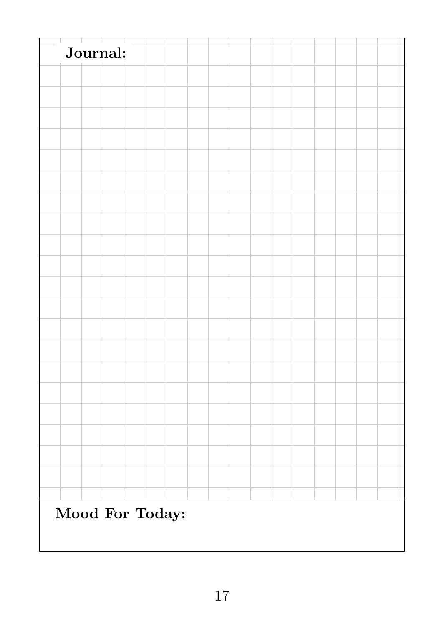| Journal:        |  |  |  |
|-----------------|--|--|--|
|                 |  |  |  |
|                 |  |  |  |
|                 |  |  |  |
|                 |  |  |  |
|                 |  |  |  |
|                 |  |  |  |
|                 |  |  |  |
|                 |  |  |  |
|                 |  |  |  |
|                 |  |  |  |
|                 |  |  |  |
|                 |  |  |  |
|                 |  |  |  |
|                 |  |  |  |
|                 |  |  |  |
|                 |  |  |  |
|                 |  |  |  |
|                 |  |  |  |
|                 |  |  |  |
|                 |  |  |  |
|                 |  |  |  |
|                 |  |  |  |
|                 |  |  |  |
|                 |  |  |  |
|                 |  |  |  |
| Mood For Today: |  |  |  |
|                 |  |  |  |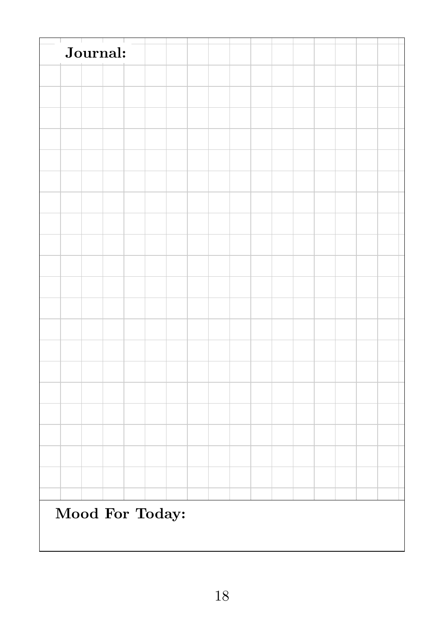| Journal:        |  |  |  |
|-----------------|--|--|--|
|                 |  |  |  |
|                 |  |  |  |
|                 |  |  |  |
|                 |  |  |  |
|                 |  |  |  |
|                 |  |  |  |
|                 |  |  |  |
|                 |  |  |  |
|                 |  |  |  |
|                 |  |  |  |
|                 |  |  |  |
|                 |  |  |  |
|                 |  |  |  |
|                 |  |  |  |
|                 |  |  |  |
|                 |  |  |  |
|                 |  |  |  |
|                 |  |  |  |
|                 |  |  |  |
|                 |  |  |  |
|                 |  |  |  |
|                 |  |  |  |
|                 |  |  |  |
|                 |  |  |  |
|                 |  |  |  |
| Mood For Today: |  |  |  |
|                 |  |  |  |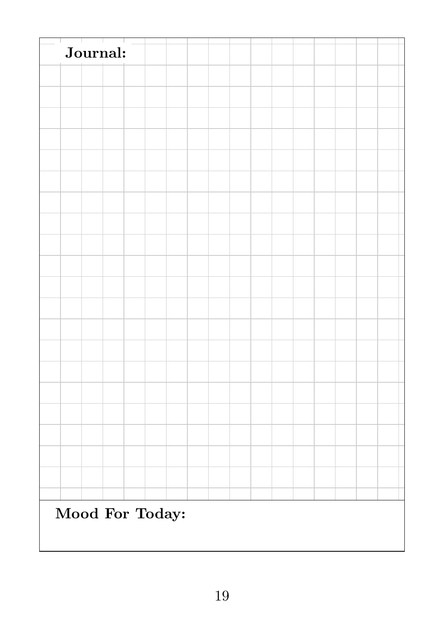| Journal:        |  |  |  |  |  |
|-----------------|--|--|--|--|--|
|                 |  |  |  |  |  |
|                 |  |  |  |  |  |
|                 |  |  |  |  |  |
|                 |  |  |  |  |  |
|                 |  |  |  |  |  |
|                 |  |  |  |  |  |
|                 |  |  |  |  |  |
|                 |  |  |  |  |  |
|                 |  |  |  |  |  |
|                 |  |  |  |  |  |
|                 |  |  |  |  |  |
|                 |  |  |  |  |  |
|                 |  |  |  |  |  |
|                 |  |  |  |  |  |
|                 |  |  |  |  |  |
|                 |  |  |  |  |  |
|                 |  |  |  |  |  |
|                 |  |  |  |  |  |
|                 |  |  |  |  |  |
|                 |  |  |  |  |  |
|                 |  |  |  |  |  |
|                 |  |  |  |  |  |
|                 |  |  |  |  |  |
| Mood For Today: |  |  |  |  |  |
|                 |  |  |  |  |  |
|                 |  |  |  |  |  |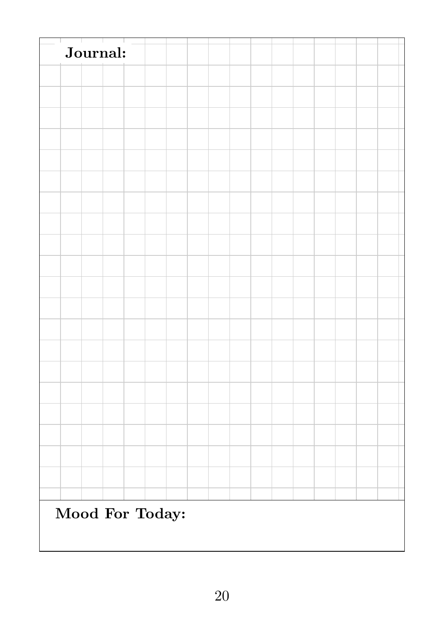| Journal:        |  |  |  |
|-----------------|--|--|--|
|                 |  |  |  |
|                 |  |  |  |
|                 |  |  |  |
|                 |  |  |  |
|                 |  |  |  |
|                 |  |  |  |
|                 |  |  |  |
|                 |  |  |  |
|                 |  |  |  |
|                 |  |  |  |
|                 |  |  |  |
|                 |  |  |  |
|                 |  |  |  |
|                 |  |  |  |
|                 |  |  |  |
|                 |  |  |  |
|                 |  |  |  |
|                 |  |  |  |
|                 |  |  |  |
|                 |  |  |  |
|                 |  |  |  |
|                 |  |  |  |
|                 |  |  |  |
| Mood For Today: |  |  |  |
|                 |  |  |  |
|                 |  |  |  |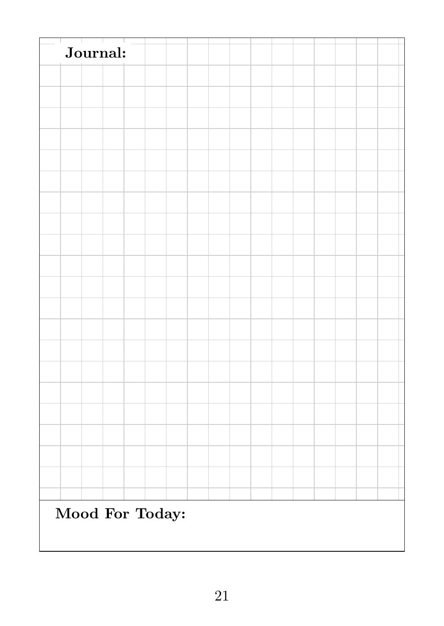| Journal:        |  |  |  |
|-----------------|--|--|--|
|                 |  |  |  |
|                 |  |  |  |
|                 |  |  |  |
|                 |  |  |  |
|                 |  |  |  |
|                 |  |  |  |
|                 |  |  |  |
|                 |  |  |  |
|                 |  |  |  |
|                 |  |  |  |
|                 |  |  |  |
|                 |  |  |  |
|                 |  |  |  |
|                 |  |  |  |
|                 |  |  |  |
|                 |  |  |  |
|                 |  |  |  |
|                 |  |  |  |
|                 |  |  |  |
|                 |  |  |  |
|                 |  |  |  |
|                 |  |  |  |
|                 |  |  |  |
|                 |  |  |  |
|                 |  |  |  |
| Mood For Today: |  |  |  |
|                 |  |  |  |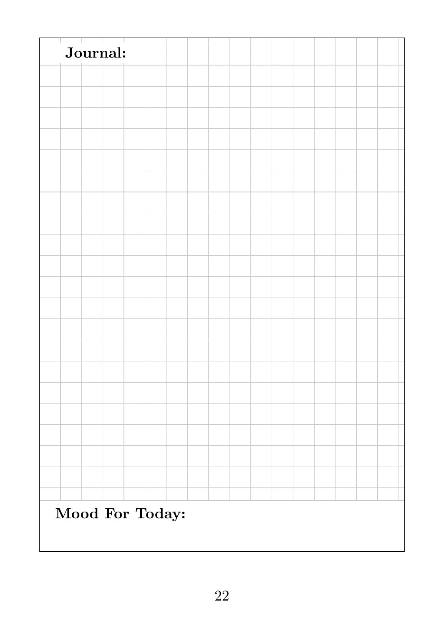| Journal:        |  |  |  |
|-----------------|--|--|--|
|                 |  |  |  |
|                 |  |  |  |
|                 |  |  |  |
|                 |  |  |  |
|                 |  |  |  |
|                 |  |  |  |
|                 |  |  |  |
|                 |  |  |  |
|                 |  |  |  |
|                 |  |  |  |
|                 |  |  |  |
|                 |  |  |  |
|                 |  |  |  |
|                 |  |  |  |
|                 |  |  |  |
|                 |  |  |  |
|                 |  |  |  |
|                 |  |  |  |
|                 |  |  |  |
|                 |  |  |  |
|                 |  |  |  |
|                 |  |  |  |
|                 |  |  |  |
|                 |  |  |  |
|                 |  |  |  |
| Mood For Today: |  |  |  |
|                 |  |  |  |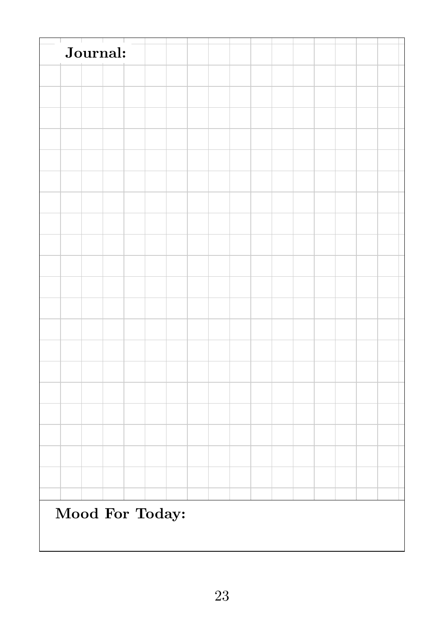| Journal:        |  |  |  |  |  |
|-----------------|--|--|--|--|--|
|                 |  |  |  |  |  |
|                 |  |  |  |  |  |
|                 |  |  |  |  |  |
|                 |  |  |  |  |  |
|                 |  |  |  |  |  |
|                 |  |  |  |  |  |
|                 |  |  |  |  |  |
|                 |  |  |  |  |  |
|                 |  |  |  |  |  |
|                 |  |  |  |  |  |
|                 |  |  |  |  |  |
|                 |  |  |  |  |  |
|                 |  |  |  |  |  |
|                 |  |  |  |  |  |
|                 |  |  |  |  |  |
|                 |  |  |  |  |  |
|                 |  |  |  |  |  |
|                 |  |  |  |  |  |
|                 |  |  |  |  |  |
|                 |  |  |  |  |  |
|                 |  |  |  |  |  |
|                 |  |  |  |  |  |
|                 |  |  |  |  |  |
| Mood For Today: |  |  |  |  |  |
|                 |  |  |  |  |  |
|                 |  |  |  |  |  |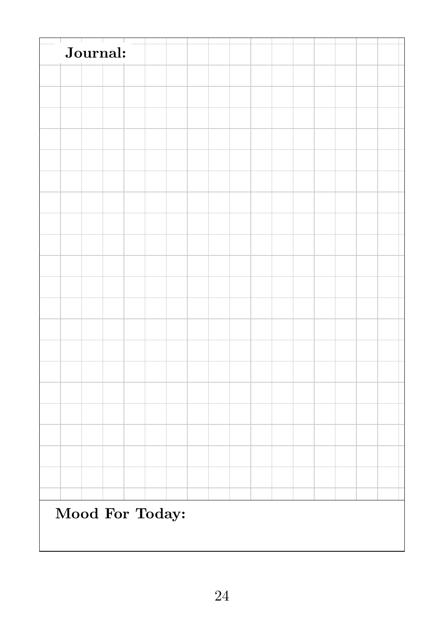| Journal:        |  |  |  |
|-----------------|--|--|--|
|                 |  |  |  |
|                 |  |  |  |
|                 |  |  |  |
|                 |  |  |  |
|                 |  |  |  |
|                 |  |  |  |
|                 |  |  |  |
|                 |  |  |  |
|                 |  |  |  |
|                 |  |  |  |
|                 |  |  |  |
|                 |  |  |  |
|                 |  |  |  |
|                 |  |  |  |
|                 |  |  |  |
|                 |  |  |  |
|                 |  |  |  |
|                 |  |  |  |
|                 |  |  |  |
|                 |  |  |  |
|                 |  |  |  |
|                 |  |  |  |
|                 |  |  |  |
|                 |  |  |  |
|                 |  |  |  |
| Mood For Today: |  |  |  |
|                 |  |  |  |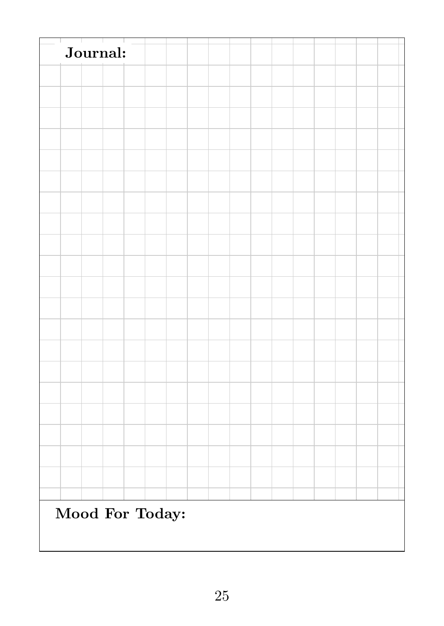| Journal:        |  |  |  |
|-----------------|--|--|--|
|                 |  |  |  |
|                 |  |  |  |
|                 |  |  |  |
|                 |  |  |  |
|                 |  |  |  |
|                 |  |  |  |
|                 |  |  |  |
|                 |  |  |  |
|                 |  |  |  |
|                 |  |  |  |
|                 |  |  |  |
|                 |  |  |  |
|                 |  |  |  |
|                 |  |  |  |
|                 |  |  |  |
|                 |  |  |  |
|                 |  |  |  |
|                 |  |  |  |
|                 |  |  |  |
|                 |  |  |  |
|                 |  |  |  |
|                 |  |  |  |
|                 |  |  |  |
|                 |  |  |  |
|                 |  |  |  |
| Mood For Today: |  |  |  |
|                 |  |  |  |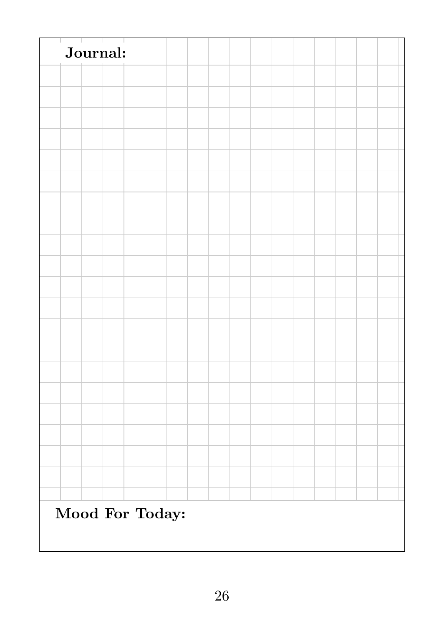| Journal:        |  |  |  |
|-----------------|--|--|--|
|                 |  |  |  |
|                 |  |  |  |
|                 |  |  |  |
|                 |  |  |  |
|                 |  |  |  |
|                 |  |  |  |
|                 |  |  |  |
|                 |  |  |  |
|                 |  |  |  |
|                 |  |  |  |
|                 |  |  |  |
|                 |  |  |  |
|                 |  |  |  |
|                 |  |  |  |
|                 |  |  |  |
|                 |  |  |  |
|                 |  |  |  |
|                 |  |  |  |
|                 |  |  |  |
|                 |  |  |  |
|                 |  |  |  |
|                 |  |  |  |
|                 |  |  |  |
| Mood For Today: |  |  |  |
|                 |  |  |  |
|                 |  |  |  |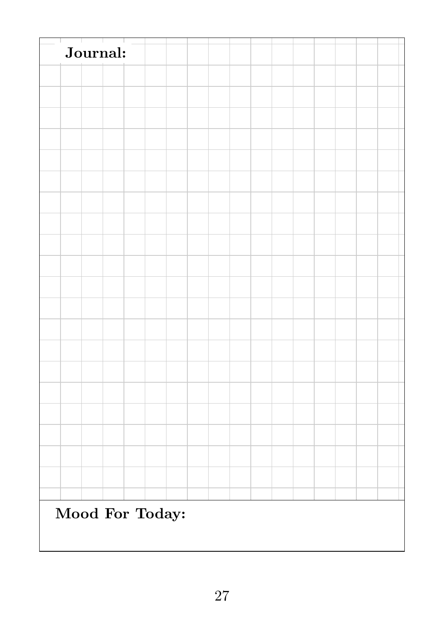| Journal:        |  |  |  |
|-----------------|--|--|--|
|                 |  |  |  |
|                 |  |  |  |
|                 |  |  |  |
|                 |  |  |  |
|                 |  |  |  |
|                 |  |  |  |
|                 |  |  |  |
|                 |  |  |  |
|                 |  |  |  |
|                 |  |  |  |
|                 |  |  |  |
|                 |  |  |  |
|                 |  |  |  |
|                 |  |  |  |
|                 |  |  |  |
|                 |  |  |  |
|                 |  |  |  |
|                 |  |  |  |
|                 |  |  |  |
|                 |  |  |  |
|                 |  |  |  |
|                 |  |  |  |
|                 |  |  |  |
|                 |  |  |  |
|                 |  |  |  |
| Mood For Today: |  |  |  |
|                 |  |  |  |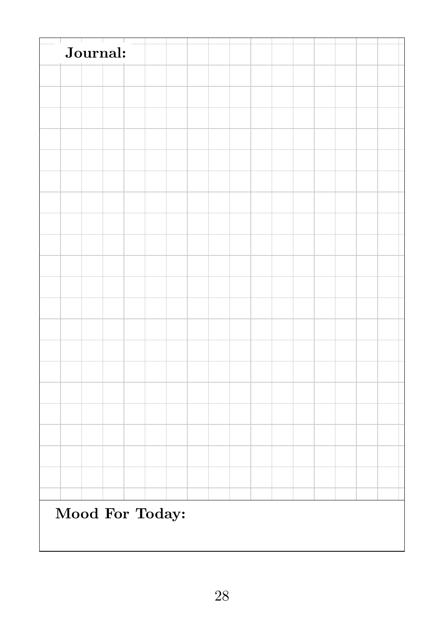| Journal:        |  |  |  |  |  |
|-----------------|--|--|--|--|--|
|                 |  |  |  |  |  |
|                 |  |  |  |  |  |
|                 |  |  |  |  |  |
|                 |  |  |  |  |  |
|                 |  |  |  |  |  |
|                 |  |  |  |  |  |
|                 |  |  |  |  |  |
|                 |  |  |  |  |  |
|                 |  |  |  |  |  |
|                 |  |  |  |  |  |
|                 |  |  |  |  |  |
|                 |  |  |  |  |  |
|                 |  |  |  |  |  |
|                 |  |  |  |  |  |
|                 |  |  |  |  |  |
|                 |  |  |  |  |  |
|                 |  |  |  |  |  |
|                 |  |  |  |  |  |
|                 |  |  |  |  |  |
|                 |  |  |  |  |  |
|                 |  |  |  |  |  |
|                 |  |  |  |  |  |
|                 |  |  |  |  |  |
| Mood For Today: |  |  |  |  |  |
|                 |  |  |  |  |  |
|                 |  |  |  |  |  |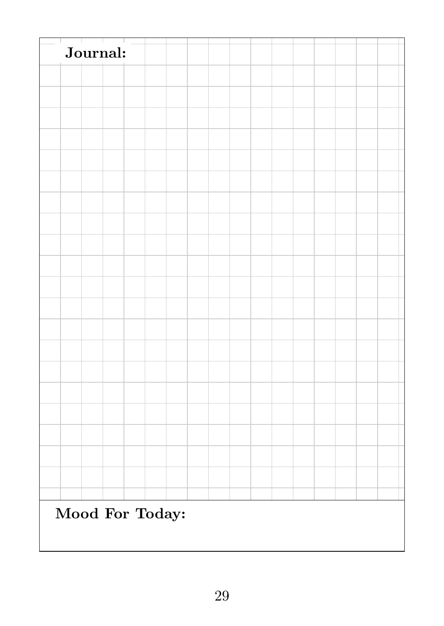| Journal:        |  |  |  |  |  |
|-----------------|--|--|--|--|--|
|                 |  |  |  |  |  |
|                 |  |  |  |  |  |
|                 |  |  |  |  |  |
|                 |  |  |  |  |  |
|                 |  |  |  |  |  |
|                 |  |  |  |  |  |
|                 |  |  |  |  |  |
|                 |  |  |  |  |  |
|                 |  |  |  |  |  |
|                 |  |  |  |  |  |
|                 |  |  |  |  |  |
|                 |  |  |  |  |  |
|                 |  |  |  |  |  |
|                 |  |  |  |  |  |
|                 |  |  |  |  |  |
|                 |  |  |  |  |  |
|                 |  |  |  |  |  |
|                 |  |  |  |  |  |
|                 |  |  |  |  |  |
|                 |  |  |  |  |  |
|                 |  |  |  |  |  |
|                 |  |  |  |  |  |
|                 |  |  |  |  |  |
| Mood For Today: |  |  |  |  |  |
|                 |  |  |  |  |  |
|                 |  |  |  |  |  |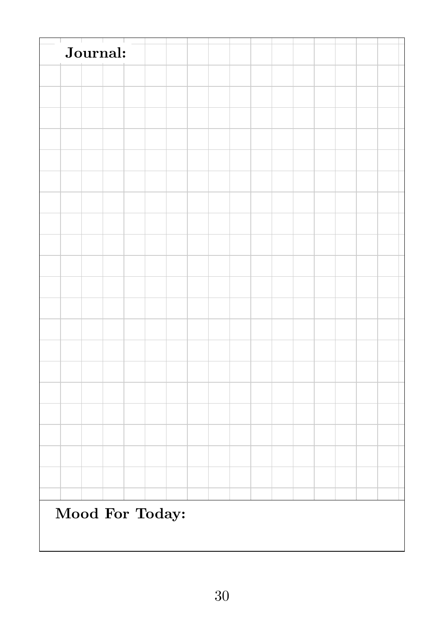| Journal:        |  |  |  |
|-----------------|--|--|--|
|                 |  |  |  |
|                 |  |  |  |
|                 |  |  |  |
|                 |  |  |  |
|                 |  |  |  |
|                 |  |  |  |
|                 |  |  |  |
|                 |  |  |  |
|                 |  |  |  |
|                 |  |  |  |
|                 |  |  |  |
|                 |  |  |  |
|                 |  |  |  |
|                 |  |  |  |
|                 |  |  |  |
|                 |  |  |  |
|                 |  |  |  |
|                 |  |  |  |
|                 |  |  |  |
|                 |  |  |  |
|                 |  |  |  |
|                 |  |  |  |
|                 |  |  |  |
| Mood For Today: |  |  |  |
|                 |  |  |  |
|                 |  |  |  |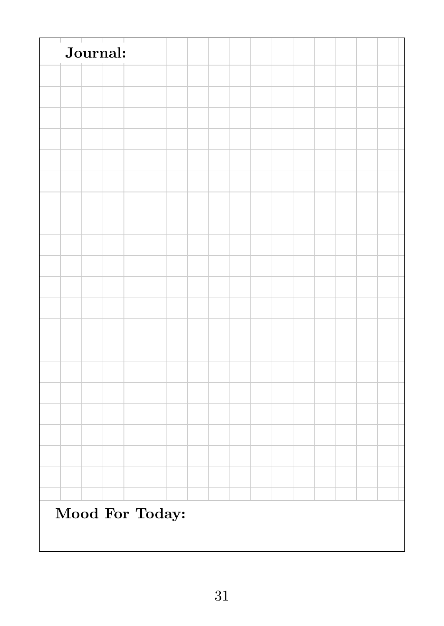| Journal:        |  |  |  |
|-----------------|--|--|--|
|                 |  |  |  |
|                 |  |  |  |
|                 |  |  |  |
|                 |  |  |  |
|                 |  |  |  |
|                 |  |  |  |
|                 |  |  |  |
|                 |  |  |  |
|                 |  |  |  |
|                 |  |  |  |
|                 |  |  |  |
|                 |  |  |  |
|                 |  |  |  |
|                 |  |  |  |
|                 |  |  |  |
|                 |  |  |  |
|                 |  |  |  |
|                 |  |  |  |
|                 |  |  |  |
|                 |  |  |  |
|                 |  |  |  |
|                 |  |  |  |
|                 |  |  |  |
|                 |  |  |  |
|                 |  |  |  |
| Mood For Today: |  |  |  |
|                 |  |  |  |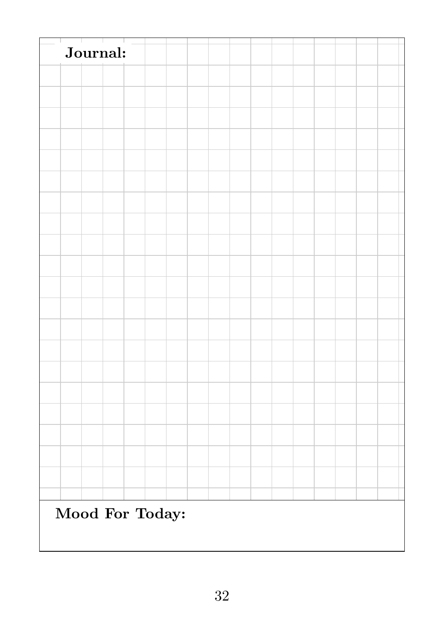| Journal:        |  |  |  |
|-----------------|--|--|--|
|                 |  |  |  |
|                 |  |  |  |
|                 |  |  |  |
|                 |  |  |  |
|                 |  |  |  |
|                 |  |  |  |
|                 |  |  |  |
|                 |  |  |  |
|                 |  |  |  |
|                 |  |  |  |
|                 |  |  |  |
|                 |  |  |  |
|                 |  |  |  |
|                 |  |  |  |
|                 |  |  |  |
|                 |  |  |  |
|                 |  |  |  |
|                 |  |  |  |
|                 |  |  |  |
|                 |  |  |  |
|                 |  |  |  |
|                 |  |  |  |
|                 |  |  |  |
|                 |  |  |  |
|                 |  |  |  |
| Mood For Today: |  |  |  |
|                 |  |  |  |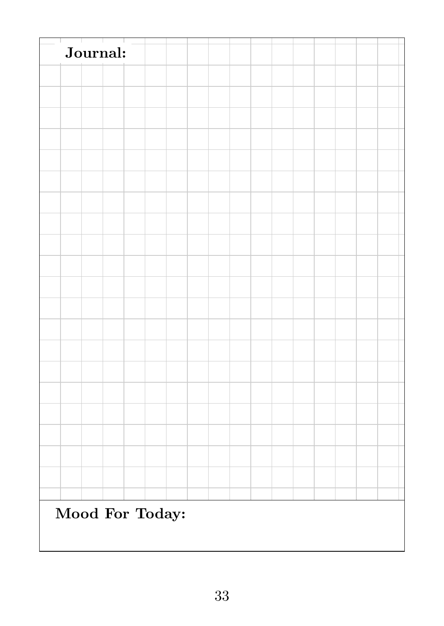| Journal:        |  |  |  |  |  |
|-----------------|--|--|--|--|--|
|                 |  |  |  |  |  |
|                 |  |  |  |  |  |
|                 |  |  |  |  |  |
|                 |  |  |  |  |  |
|                 |  |  |  |  |  |
|                 |  |  |  |  |  |
|                 |  |  |  |  |  |
|                 |  |  |  |  |  |
|                 |  |  |  |  |  |
|                 |  |  |  |  |  |
|                 |  |  |  |  |  |
|                 |  |  |  |  |  |
|                 |  |  |  |  |  |
|                 |  |  |  |  |  |
|                 |  |  |  |  |  |
|                 |  |  |  |  |  |
|                 |  |  |  |  |  |
|                 |  |  |  |  |  |
|                 |  |  |  |  |  |
|                 |  |  |  |  |  |
|                 |  |  |  |  |  |
|                 |  |  |  |  |  |
|                 |  |  |  |  |  |
| Mood For Today: |  |  |  |  |  |
|                 |  |  |  |  |  |
|                 |  |  |  |  |  |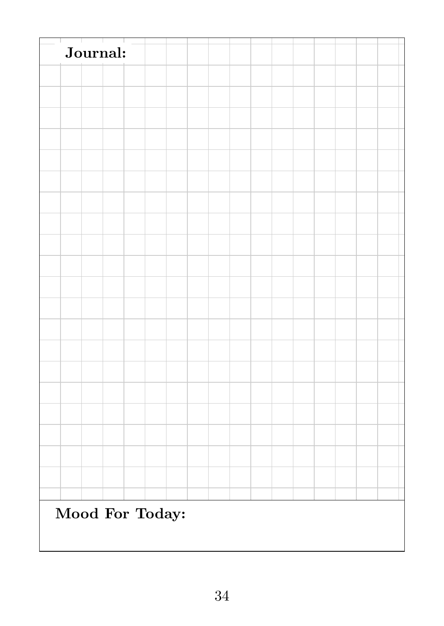| Journal:        |  |  |  |  |  |
|-----------------|--|--|--|--|--|
|                 |  |  |  |  |  |
|                 |  |  |  |  |  |
|                 |  |  |  |  |  |
|                 |  |  |  |  |  |
|                 |  |  |  |  |  |
|                 |  |  |  |  |  |
|                 |  |  |  |  |  |
|                 |  |  |  |  |  |
|                 |  |  |  |  |  |
|                 |  |  |  |  |  |
|                 |  |  |  |  |  |
|                 |  |  |  |  |  |
|                 |  |  |  |  |  |
|                 |  |  |  |  |  |
|                 |  |  |  |  |  |
|                 |  |  |  |  |  |
|                 |  |  |  |  |  |
|                 |  |  |  |  |  |
|                 |  |  |  |  |  |
|                 |  |  |  |  |  |
|                 |  |  |  |  |  |
|                 |  |  |  |  |  |
|                 |  |  |  |  |  |
| Mood For Today: |  |  |  |  |  |
|                 |  |  |  |  |  |
|                 |  |  |  |  |  |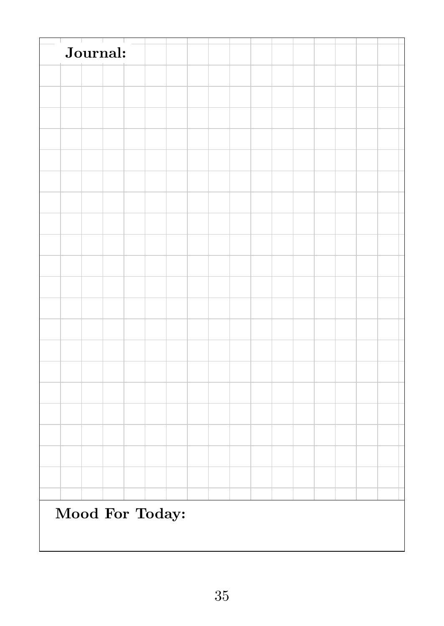| Journal:        |  |  |  |  |  |
|-----------------|--|--|--|--|--|
|                 |  |  |  |  |  |
|                 |  |  |  |  |  |
|                 |  |  |  |  |  |
|                 |  |  |  |  |  |
|                 |  |  |  |  |  |
|                 |  |  |  |  |  |
|                 |  |  |  |  |  |
|                 |  |  |  |  |  |
|                 |  |  |  |  |  |
|                 |  |  |  |  |  |
|                 |  |  |  |  |  |
|                 |  |  |  |  |  |
|                 |  |  |  |  |  |
|                 |  |  |  |  |  |
|                 |  |  |  |  |  |
|                 |  |  |  |  |  |
|                 |  |  |  |  |  |
|                 |  |  |  |  |  |
|                 |  |  |  |  |  |
|                 |  |  |  |  |  |
|                 |  |  |  |  |  |
|                 |  |  |  |  |  |
|                 |  |  |  |  |  |
| Mood For Today: |  |  |  |  |  |
|                 |  |  |  |  |  |
|                 |  |  |  |  |  |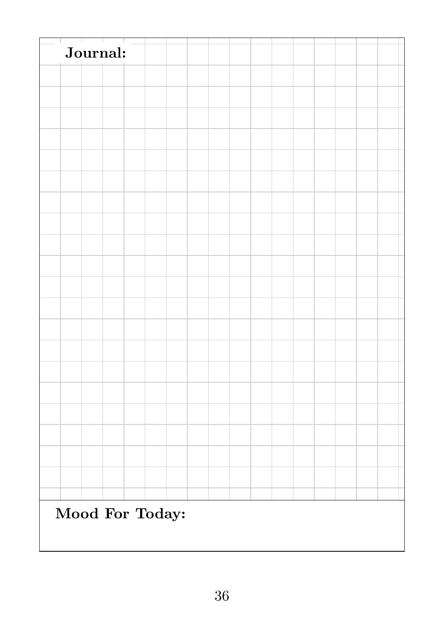| Journal:        |  |  |  |  |  |
|-----------------|--|--|--|--|--|
|                 |  |  |  |  |  |
|                 |  |  |  |  |  |
|                 |  |  |  |  |  |
|                 |  |  |  |  |  |
|                 |  |  |  |  |  |
|                 |  |  |  |  |  |
|                 |  |  |  |  |  |
|                 |  |  |  |  |  |
|                 |  |  |  |  |  |
|                 |  |  |  |  |  |
|                 |  |  |  |  |  |
|                 |  |  |  |  |  |
|                 |  |  |  |  |  |
|                 |  |  |  |  |  |
|                 |  |  |  |  |  |
|                 |  |  |  |  |  |
|                 |  |  |  |  |  |
|                 |  |  |  |  |  |
|                 |  |  |  |  |  |
|                 |  |  |  |  |  |
|                 |  |  |  |  |  |
|                 |  |  |  |  |  |
|                 |  |  |  |  |  |
| Mood For Today: |  |  |  |  |  |
|                 |  |  |  |  |  |
|                 |  |  |  |  |  |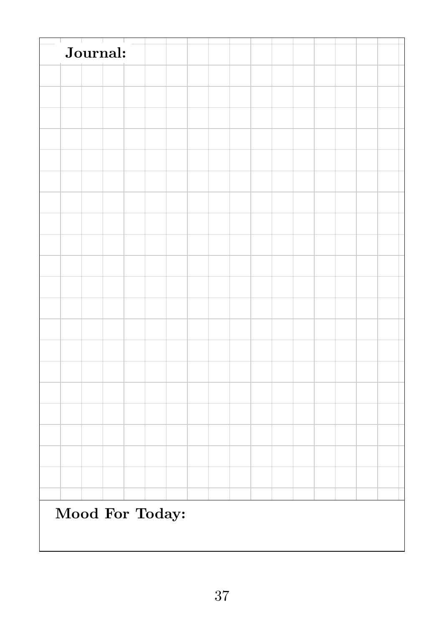| Journal:        |  |  |  |
|-----------------|--|--|--|
|                 |  |  |  |
|                 |  |  |  |
|                 |  |  |  |
|                 |  |  |  |
|                 |  |  |  |
|                 |  |  |  |
|                 |  |  |  |
|                 |  |  |  |
|                 |  |  |  |
|                 |  |  |  |
|                 |  |  |  |
|                 |  |  |  |
|                 |  |  |  |
|                 |  |  |  |
|                 |  |  |  |
|                 |  |  |  |
|                 |  |  |  |
|                 |  |  |  |
|                 |  |  |  |
|                 |  |  |  |
|                 |  |  |  |
|                 |  |  |  |
|                 |  |  |  |
|                 |  |  |  |
|                 |  |  |  |
| Mood For Today: |  |  |  |
|                 |  |  |  |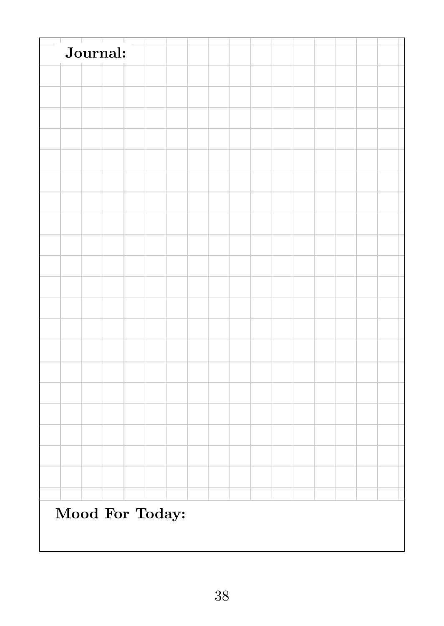| Journal:        |  |  |  |  |  |
|-----------------|--|--|--|--|--|
|                 |  |  |  |  |  |
|                 |  |  |  |  |  |
|                 |  |  |  |  |  |
|                 |  |  |  |  |  |
|                 |  |  |  |  |  |
|                 |  |  |  |  |  |
|                 |  |  |  |  |  |
|                 |  |  |  |  |  |
|                 |  |  |  |  |  |
|                 |  |  |  |  |  |
|                 |  |  |  |  |  |
|                 |  |  |  |  |  |
|                 |  |  |  |  |  |
|                 |  |  |  |  |  |
|                 |  |  |  |  |  |
|                 |  |  |  |  |  |
|                 |  |  |  |  |  |
|                 |  |  |  |  |  |
|                 |  |  |  |  |  |
|                 |  |  |  |  |  |
|                 |  |  |  |  |  |
|                 |  |  |  |  |  |
|                 |  |  |  |  |  |
| Mood For Today: |  |  |  |  |  |
|                 |  |  |  |  |  |
|                 |  |  |  |  |  |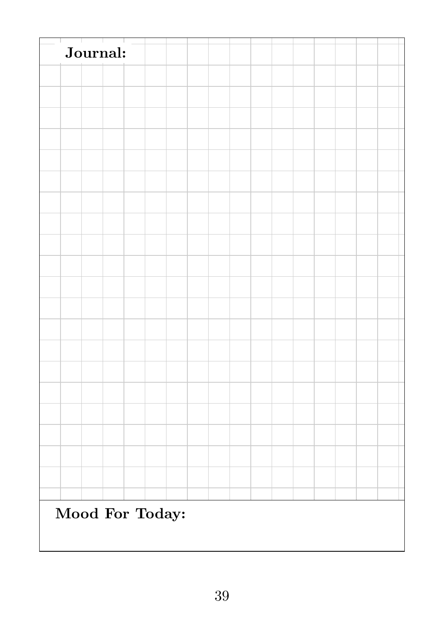| Journal:        |  |  |  |  |  |
|-----------------|--|--|--|--|--|
|                 |  |  |  |  |  |
|                 |  |  |  |  |  |
|                 |  |  |  |  |  |
|                 |  |  |  |  |  |
|                 |  |  |  |  |  |
|                 |  |  |  |  |  |
|                 |  |  |  |  |  |
|                 |  |  |  |  |  |
|                 |  |  |  |  |  |
|                 |  |  |  |  |  |
|                 |  |  |  |  |  |
|                 |  |  |  |  |  |
|                 |  |  |  |  |  |
|                 |  |  |  |  |  |
|                 |  |  |  |  |  |
|                 |  |  |  |  |  |
|                 |  |  |  |  |  |
|                 |  |  |  |  |  |
|                 |  |  |  |  |  |
|                 |  |  |  |  |  |
|                 |  |  |  |  |  |
|                 |  |  |  |  |  |
|                 |  |  |  |  |  |
| Mood For Today: |  |  |  |  |  |
|                 |  |  |  |  |  |
|                 |  |  |  |  |  |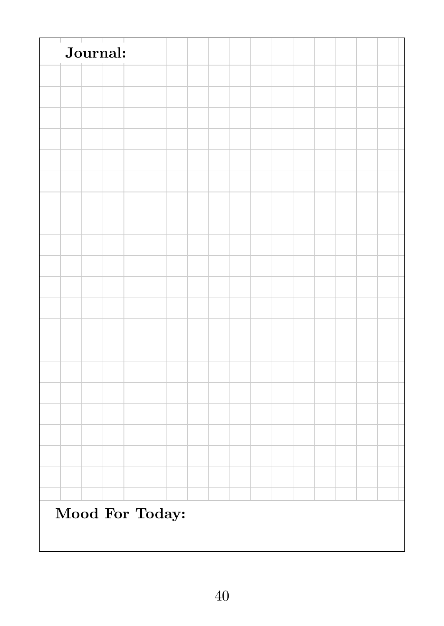| Journal:        |  |  |  |
|-----------------|--|--|--|
|                 |  |  |  |
|                 |  |  |  |
|                 |  |  |  |
|                 |  |  |  |
|                 |  |  |  |
|                 |  |  |  |
|                 |  |  |  |
|                 |  |  |  |
|                 |  |  |  |
|                 |  |  |  |
|                 |  |  |  |
|                 |  |  |  |
|                 |  |  |  |
|                 |  |  |  |
|                 |  |  |  |
|                 |  |  |  |
|                 |  |  |  |
|                 |  |  |  |
|                 |  |  |  |
|                 |  |  |  |
|                 |  |  |  |
|                 |  |  |  |
|                 |  |  |  |
| Mood For Today: |  |  |  |
|                 |  |  |  |
|                 |  |  |  |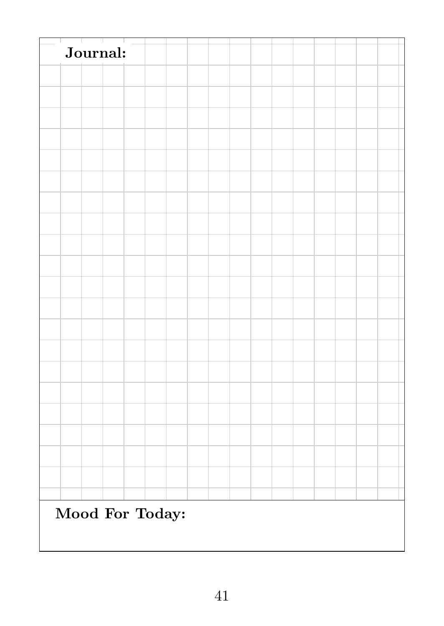| Journal:        |  |  |  |
|-----------------|--|--|--|
|                 |  |  |  |
|                 |  |  |  |
|                 |  |  |  |
|                 |  |  |  |
|                 |  |  |  |
|                 |  |  |  |
|                 |  |  |  |
|                 |  |  |  |
|                 |  |  |  |
|                 |  |  |  |
|                 |  |  |  |
|                 |  |  |  |
|                 |  |  |  |
|                 |  |  |  |
|                 |  |  |  |
|                 |  |  |  |
|                 |  |  |  |
|                 |  |  |  |
|                 |  |  |  |
|                 |  |  |  |
|                 |  |  |  |
|                 |  |  |  |
|                 |  |  |  |
|                 |  |  |  |
|                 |  |  |  |
| Mood For Today: |  |  |  |
|                 |  |  |  |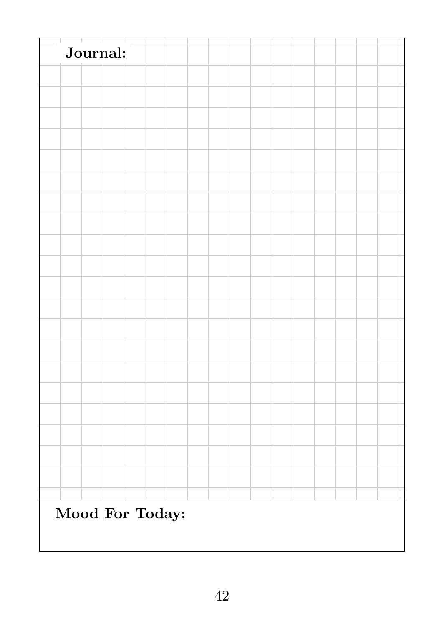| Journal:        |  |  |  |
|-----------------|--|--|--|
|                 |  |  |  |
|                 |  |  |  |
|                 |  |  |  |
|                 |  |  |  |
|                 |  |  |  |
|                 |  |  |  |
|                 |  |  |  |
|                 |  |  |  |
|                 |  |  |  |
|                 |  |  |  |
|                 |  |  |  |
|                 |  |  |  |
|                 |  |  |  |
|                 |  |  |  |
|                 |  |  |  |
|                 |  |  |  |
|                 |  |  |  |
|                 |  |  |  |
|                 |  |  |  |
|                 |  |  |  |
|                 |  |  |  |
|                 |  |  |  |
|                 |  |  |  |
|                 |  |  |  |
|                 |  |  |  |
| Mood For Today: |  |  |  |
|                 |  |  |  |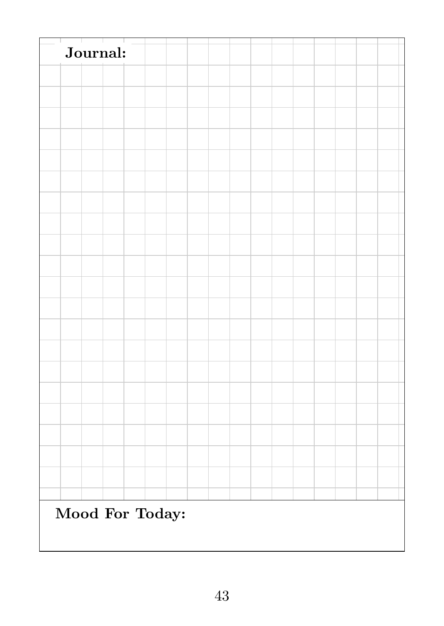| Journal:        |  |  |  |
|-----------------|--|--|--|
|                 |  |  |  |
|                 |  |  |  |
|                 |  |  |  |
|                 |  |  |  |
|                 |  |  |  |
|                 |  |  |  |
|                 |  |  |  |
|                 |  |  |  |
|                 |  |  |  |
|                 |  |  |  |
|                 |  |  |  |
|                 |  |  |  |
|                 |  |  |  |
|                 |  |  |  |
|                 |  |  |  |
|                 |  |  |  |
|                 |  |  |  |
|                 |  |  |  |
|                 |  |  |  |
|                 |  |  |  |
|                 |  |  |  |
|                 |  |  |  |
|                 |  |  |  |
|                 |  |  |  |
|                 |  |  |  |
| Mood For Today: |  |  |  |
|                 |  |  |  |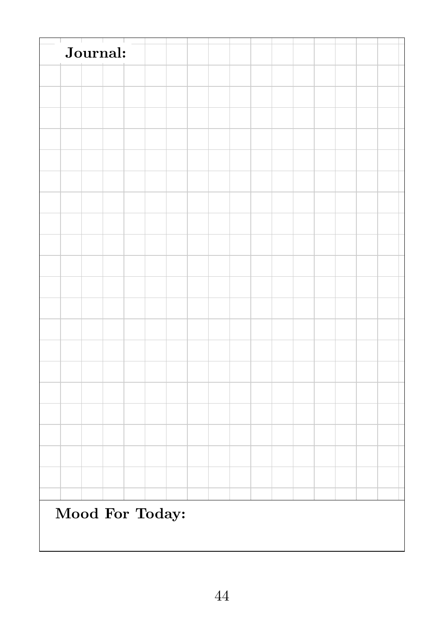| Journal:        |  |  |  |  |  |
|-----------------|--|--|--|--|--|
|                 |  |  |  |  |  |
|                 |  |  |  |  |  |
|                 |  |  |  |  |  |
|                 |  |  |  |  |  |
|                 |  |  |  |  |  |
|                 |  |  |  |  |  |
|                 |  |  |  |  |  |
|                 |  |  |  |  |  |
|                 |  |  |  |  |  |
|                 |  |  |  |  |  |
|                 |  |  |  |  |  |
|                 |  |  |  |  |  |
|                 |  |  |  |  |  |
|                 |  |  |  |  |  |
|                 |  |  |  |  |  |
|                 |  |  |  |  |  |
|                 |  |  |  |  |  |
|                 |  |  |  |  |  |
|                 |  |  |  |  |  |
|                 |  |  |  |  |  |
|                 |  |  |  |  |  |
|                 |  |  |  |  |  |
|                 |  |  |  |  |  |
| Mood For Today: |  |  |  |  |  |
|                 |  |  |  |  |  |
|                 |  |  |  |  |  |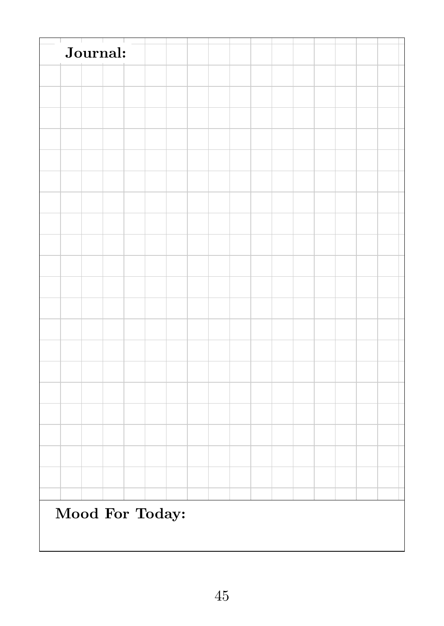| Journal:        |  |  |  |
|-----------------|--|--|--|
|                 |  |  |  |
|                 |  |  |  |
|                 |  |  |  |
|                 |  |  |  |
|                 |  |  |  |
|                 |  |  |  |
|                 |  |  |  |
|                 |  |  |  |
|                 |  |  |  |
|                 |  |  |  |
|                 |  |  |  |
|                 |  |  |  |
|                 |  |  |  |
|                 |  |  |  |
|                 |  |  |  |
|                 |  |  |  |
|                 |  |  |  |
|                 |  |  |  |
|                 |  |  |  |
|                 |  |  |  |
|                 |  |  |  |
|                 |  |  |  |
|                 |  |  |  |
|                 |  |  |  |
|                 |  |  |  |
| Mood For Today: |  |  |  |
|                 |  |  |  |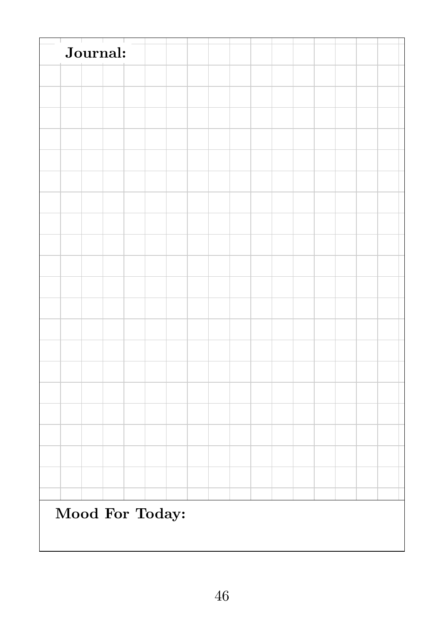| Journal:        |  |  |  |
|-----------------|--|--|--|
|                 |  |  |  |
|                 |  |  |  |
|                 |  |  |  |
|                 |  |  |  |
|                 |  |  |  |
|                 |  |  |  |
|                 |  |  |  |
|                 |  |  |  |
|                 |  |  |  |
|                 |  |  |  |
|                 |  |  |  |
|                 |  |  |  |
|                 |  |  |  |
|                 |  |  |  |
|                 |  |  |  |
|                 |  |  |  |
|                 |  |  |  |
|                 |  |  |  |
|                 |  |  |  |
|                 |  |  |  |
|                 |  |  |  |
|                 |  |  |  |
|                 |  |  |  |
| Mood For Today: |  |  |  |
|                 |  |  |  |
|                 |  |  |  |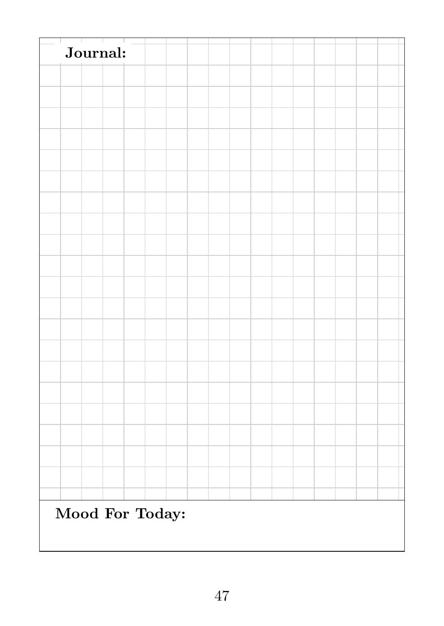| Journal:        |  |  |  |
|-----------------|--|--|--|
|                 |  |  |  |
|                 |  |  |  |
|                 |  |  |  |
|                 |  |  |  |
|                 |  |  |  |
|                 |  |  |  |
|                 |  |  |  |
|                 |  |  |  |
|                 |  |  |  |
|                 |  |  |  |
|                 |  |  |  |
|                 |  |  |  |
|                 |  |  |  |
|                 |  |  |  |
|                 |  |  |  |
|                 |  |  |  |
|                 |  |  |  |
|                 |  |  |  |
|                 |  |  |  |
|                 |  |  |  |
|                 |  |  |  |
|                 |  |  |  |
|                 |  |  |  |
|                 |  |  |  |
|                 |  |  |  |
| Mood For Today: |  |  |  |
|                 |  |  |  |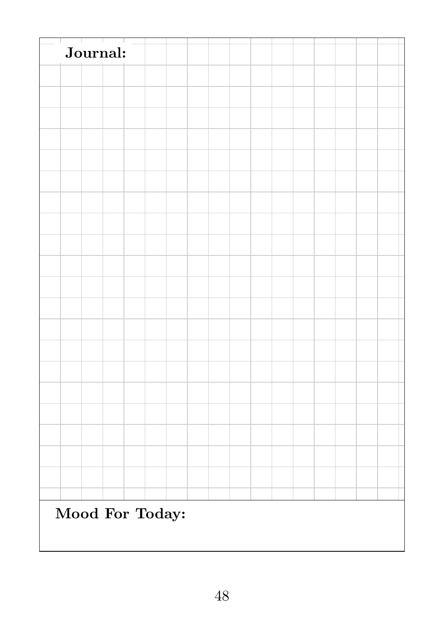| Journal:        |  |  |  |
|-----------------|--|--|--|
|                 |  |  |  |
|                 |  |  |  |
|                 |  |  |  |
|                 |  |  |  |
|                 |  |  |  |
|                 |  |  |  |
|                 |  |  |  |
|                 |  |  |  |
|                 |  |  |  |
|                 |  |  |  |
|                 |  |  |  |
|                 |  |  |  |
|                 |  |  |  |
|                 |  |  |  |
|                 |  |  |  |
|                 |  |  |  |
|                 |  |  |  |
|                 |  |  |  |
|                 |  |  |  |
|                 |  |  |  |
|                 |  |  |  |
|                 |  |  |  |
|                 |  |  |  |
|                 |  |  |  |
|                 |  |  |  |
| Mood For Today: |  |  |  |
|                 |  |  |  |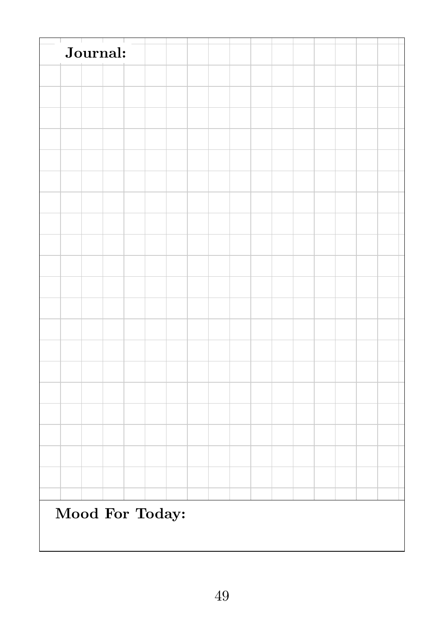| Journal:        |  |  |  |  |  |  |  |  |  |
|-----------------|--|--|--|--|--|--|--|--|--|
|                 |  |  |  |  |  |  |  |  |  |
|                 |  |  |  |  |  |  |  |  |  |
|                 |  |  |  |  |  |  |  |  |  |
|                 |  |  |  |  |  |  |  |  |  |
|                 |  |  |  |  |  |  |  |  |  |
|                 |  |  |  |  |  |  |  |  |  |
|                 |  |  |  |  |  |  |  |  |  |
|                 |  |  |  |  |  |  |  |  |  |
|                 |  |  |  |  |  |  |  |  |  |
|                 |  |  |  |  |  |  |  |  |  |
|                 |  |  |  |  |  |  |  |  |  |
|                 |  |  |  |  |  |  |  |  |  |
|                 |  |  |  |  |  |  |  |  |  |
|                 |  |  |  |  |  |  |  |  |  |
|                 |  |  |  |  |  |  |  |  |  |
|                 |  |  |  |  |  |  |  |  |  |
|                 |  |  |  |  |  |  |  |  |  |
|                 |  |  |  |  |  |  |  |  |  |
|                 |  |  |  |  |  |  |  |  |  |
|                 |  |  |  |  |  |  |  |  |  |
|                 |  |  |  |  |  |  |  |  |  |
|                 |  |  |  |  |  |  |  |  |  |
|                 |  |  |  |  |  |  |  |  |  |
| Mood For Today: |  |  |  |  |  |  |  |  |  |
|                 |  |  |  |  |  |  |  |  |  |
|                 |  |  |  |  |  |  |  |  |  |